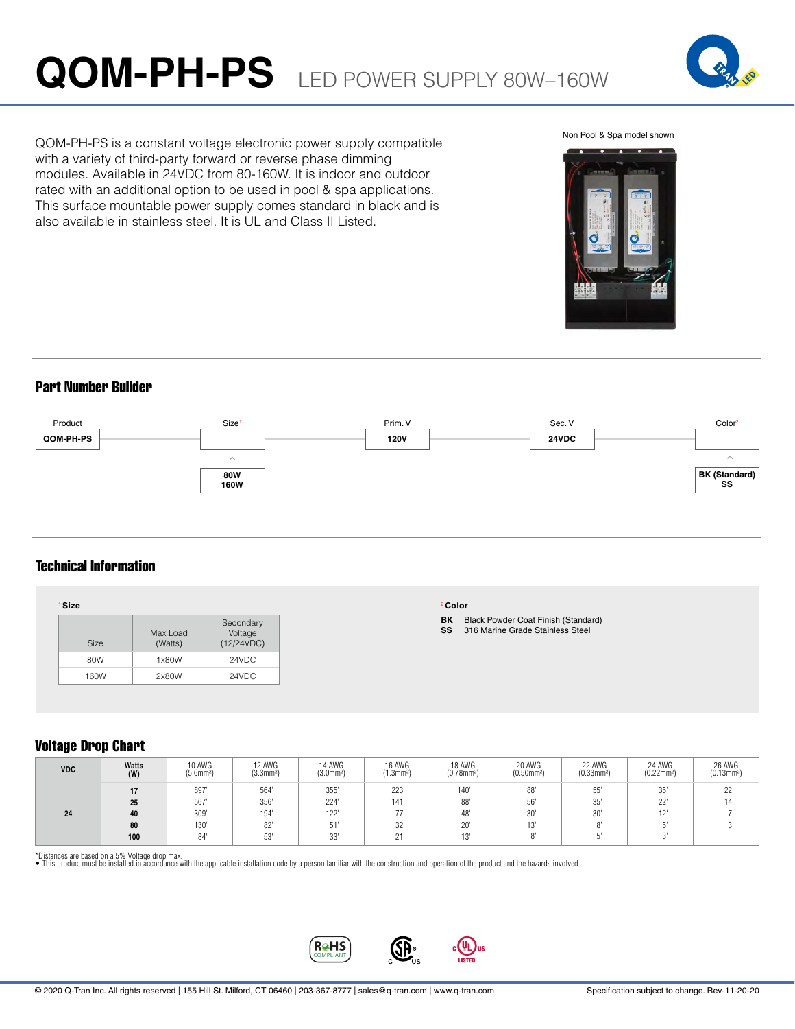# **QOM-PH-PS** LED POWER SUPPLY 80W–160W



Non Pool & Spa model shown



QOM-PH-PS is a constant voltage electronic power supply compatible with a variety of third-party forward or reverse phase dimming modules. Available in 24VDC from 80-160W. It is indoor and outdoor rated with an additional option to be used in pool & spa applications. This surface mountable power supply comes standard in black and is also available in stainless steel. It is UL and Class II Listed.

# Part Number Builder



# Technical Information

| <sup>1</sup> Size |                     |                                    | <sup>2</sup> Color                                                                         |
|-------------------|---------------------|------------------------------------|--------------------------------------------------------------------------------------------|
| Size              | Max Load<br>(Watts) | Secondary<br>Voltage<br>(12/24VDC) | BK<br><b>Black Powder Coat Finish (Standard)</b><br>316 Marine Grade Stainless Steel<br>SS |
| 80W               | 1x80W               | 24VDC                              |                                                                                            |
| 160W              | 2x80W               | 24VDC                              |                                                                                            |

# Voltage Drop Chart

| <b>VDC</b> | Watts<br>(W) | 10 AWG<br>$(5.6$ mm <sup>2</sup> | 12 AWG<br>(3.3mm <sup>2</sup> ) | 14 AWG<br>$(3.0$ mm <sup>2</sup> ) | 16 AWG<br>$(1.3$ mm <sup>2</sup> ) | 18 AWG<br>$(0.78$ mm <sup>2</sup> ) | 20 AWG<br>$(0.50$ mm <sup>2</sup> ) | 22 AWG<br>$(0.33$ mm <sup>2</sup> ) | 24 AWG<br>$(0.22$ mm <sup>2</sup> ) | 26 AWG<br>$(0.13$ mm <sup>2</sup> ) |
|------------|--------------|----------------------------------|---------------------------------|------------------------------------|------------------------------------|-------------------------------------|-------------------------------------|-------------------------------------|-------------------------------------|-------------------------------------|
|            |              | 897                              | 564                             | 355'                               | 223'                               | 140                                 | 88'                                 | 55'                                 | 0F1<br>35                           | 22"                                 |
|            | 25           | 567                              | 356                             | 224                                | 141'                               | 88                                  | 56'                                 | 35'                                 | 001<br>ŽŹ                           |                                     |
| 24         | 40           | 309'                             | 194                             | 122                                | 77'                                | 48                                  | 30'                                 | 30'                                 | AD<br>. L                           |                                     |
|            | 80           | 130'                             | 82'                             | 51'                                | 32"                                | 20                                  | $\sim$<br>ں ا                       | $\bigcap$                           |                                     |                                     |
|            | 100          | 84                               | 53'                             | 001<br>నర                          | 011<br>ا ے                         | $\triangleleft$ $\triangle$<br>ل ا  |                                     |                                     |                                     |                                     |

\*Distances are based on a 5% Voltage drop max.<br>• This product must be installed in accordance with the applicable installation code by a person familiar with the construction and operation of the product and the hazards in



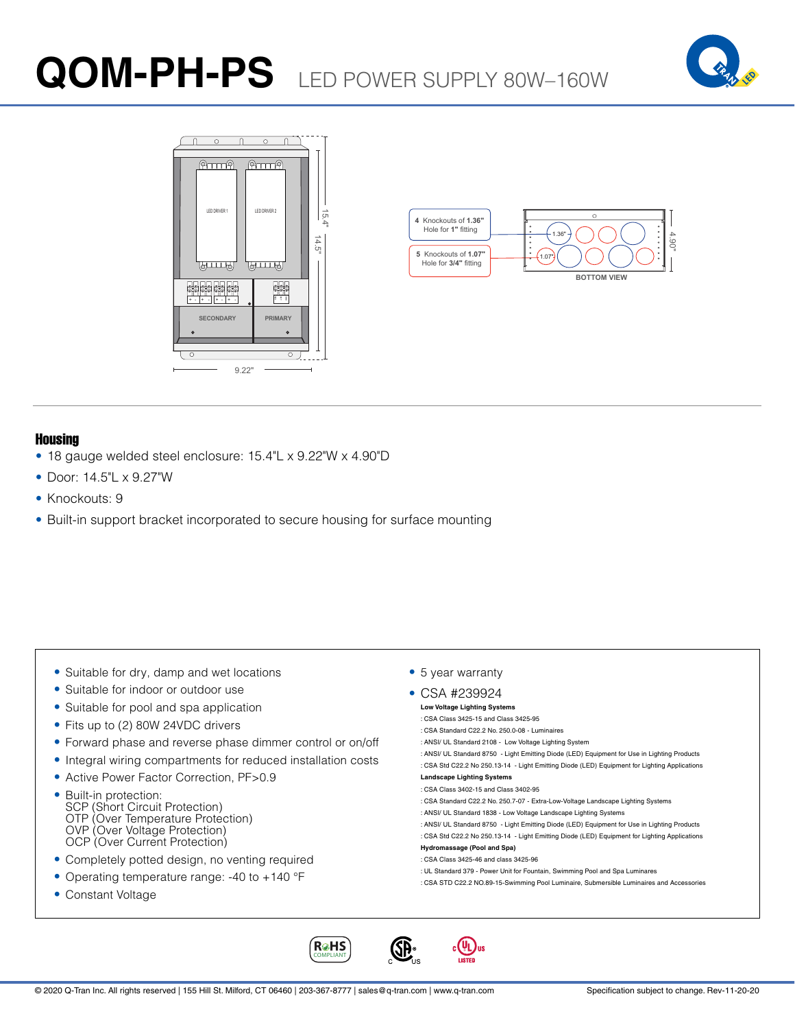# **QOM-PH-PS** LED POWER SUPPLY 80W–160W







### Housing

- 18 gauge welded steel enclosure: 15.4"L x 9.22"W x 4.90"D
- Door: 14.5"L x 9.27"W
- Knockouts: 9
- Built-in support bracket incorporated to secure housing for surface mounting

- Suitable for dry, damp and wet locations
- Suitable for indoor or outdoor use
- Suitable for pool and spa application
- Fits up to (2) 80W 24VDC drivers
- Forward phase and reverse phase dimmer control or on/off
- Integral wiring compartments for reduced installation costs
- Active Power Factor Correction, PF>0.9
- Built-in protection: SCP (Short Circuit Protection) OTP (Over Temperature Protection) OVP (Over Voltage Protection) OCP (Over Current Protection)
- Completely potted design, no venting required
- Operating temperature range: -40 to +140 °F
- Constant Voltage

• 5 year warranty

# • CSA #239924

#### **Low Voltage Lighting Systems** : CSA Class 3425-15 and Class 3425-95

- : CSA Standard C22.2 No. 250.0-08 Luminaires
- : ANSI/ UL Standard 2108 Low Voltage Lighting System
- : ANSI/ UL Standard 8750 Light Emitting Diode (LED) Equipment for Use in Lighting Products
- : CSA Std C22.2 No 250.13-14 Light Emitting Diode (LED) Equipment for Lighting Applications

#### **Landscape Lighting Systems** : CSA Class 3402-15 and Class 3402-95

- : CSA Standard C22.2 No. 250.7-07 Extra-Low-Voltage Landscape Lighting Systems
- : ANSI/ UL Standard 1838 Low Voltage Landscape Lighting Systems
- : ANSI/ UL Standard 8750 Light Emitting Diode (LED) Equipment for Use in Lighting Products
- : CSA Std C22.2 No 250.13-14 Light Emitting Diode (LED) Equipment for Lighting Applications **Hydromassage (Pool and Spa)**

### : CSA Class 3425-46 and class 3425-96

 $_{c}$ (UL)<sub>us</sub>

- : UL Standard 379 Power Unit for Fountain, Swimming Pool and Spa Luminares
- : CSA STD C22.2 NO.89-15-Swimming Pool Luminaire, Submersible Luminaires and Accessories

COMPLIANT

**R**HS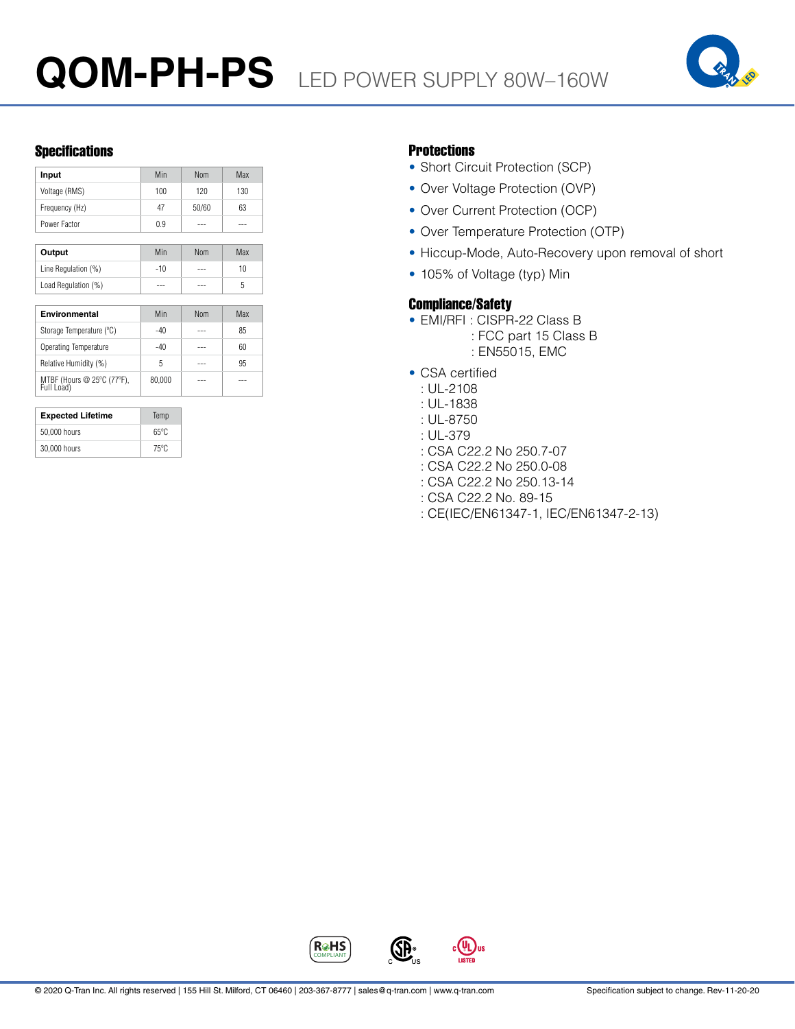

# Specifications **Protections**

| Input          | Min | <b>Nom</b> | Max |
|----------------|-----|------------|-----|
| Voltage (RMS)  | 100 | 120        | 130 |
| Frequency (Hz) | 47  | 50/60      | 63  |
| Power Factor   | 0.9 |            |     |

| Output              | Min   | Nom | Max |
|---------------------|-------|-----|-----|
| Line Regulation (%) | $-10$ | --- | 10  |
| Load Regulation (%) | ---   | --- |     |

| Environmental                            | Min    | <b>Nom</b> | Max |
|------------------------------------------|--------|------------|-----|
| Storage Temperature (°C)                 | -40    |            | 85  |
| Operating Temperature                    | -40    |            | 60  |
| Relative Humidity (%)                    | 5      |            | 95  |
| MTBF (Hours @ 25°C (77°F),<br>Full Load) | 80.000 |            |     |

| <b>Expected Lifetime</b> | Temp           |  |
|--------------------------|----------------|--|
| 50,000 hours             | $65^{\circ}$ C |  |
| 30,000 hours             | $75^{\circ}$ C |  |

- Short Circuit Protection (SCP)
- Over Voltage Protection (OVP)
- Over Current Protection (OCP)
- Over Temperature Protection (OTP)
- Hiccup-Mode, Auto-Recovery upon removal of short
- 105% of Voltage (typ) Min

# Compliance/Safety

- EMI/RFI : CISPR-22 Class B
	- : FCC part 15 Class B : EN55015, EMC
- CSA certified
	- : UL-2108
	- : UL-1838
	- : UL-8750
	- : UL-379
	- : CSA C22.2 No 250.7-07
	- : CSA C22.2 No 250.0-08
	- : CSA C22.2 No 250.13-14
	- : CSA C22.2 No. 89-15
	- : CE(IEC/EN61347-1, IEC/EN61347-2-13)



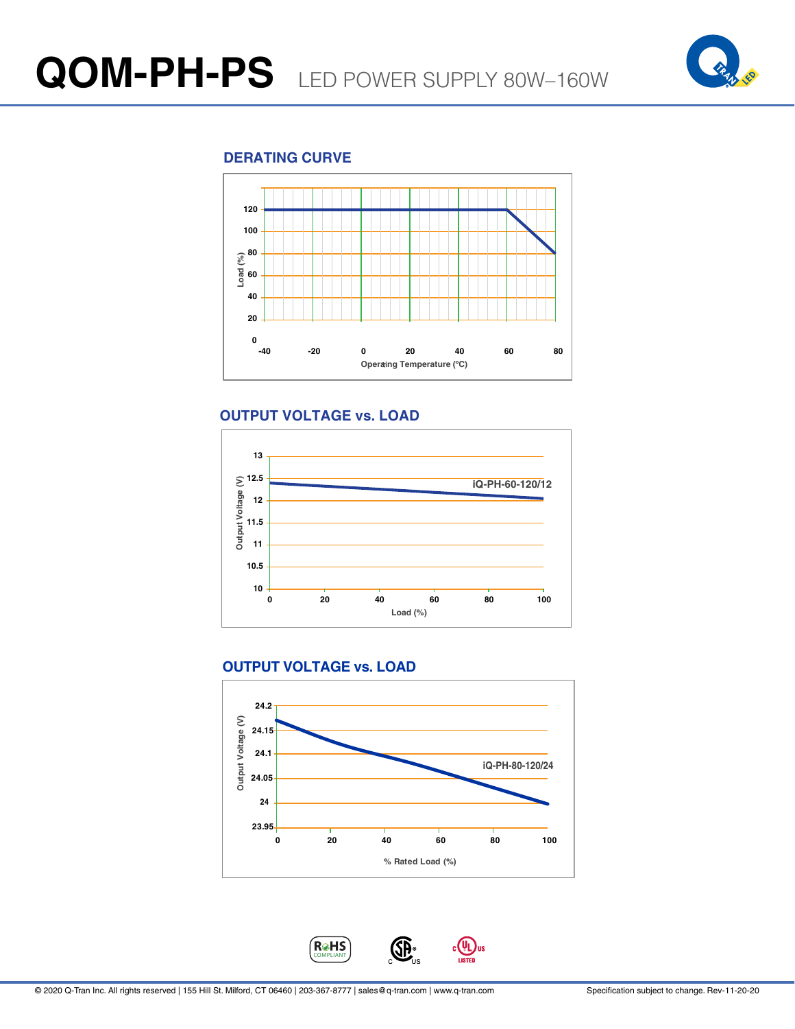

# **DERATING CURVE**



# **OUTPUT VOLTAGE vs. LOAD**



# **OUTPUT VOLTAGE vs. LOAD**